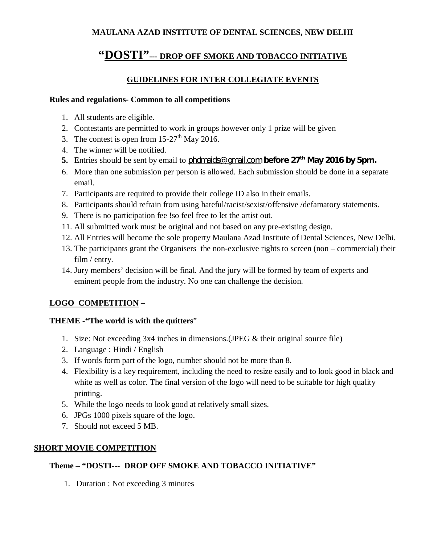## **MAULANA AZAD INSTITUTE OF DENTAL SCIENCES, NEW DELHI**

# **"DOSTI"--- DROP OFF SMOKE AND TOBACCO INITIATIVE**

## **GUIDELINES FOR INTER COLLEGIATE EVENTS**

#### **Rules and regulations- Common to all competitions**

- 1. All students are eligible.
- 2. Contestants are permitted to work in groups however only 1 prize will be given
- 3. The contest is open from  $15-27$ <sup>th</sup> May 2016.
- 4. The winner will be notified.
- **5.** Entries should be sent by email to [phdmaids@gmail.com](mailto:phdmaids@gmail.com) **before 27th May 2016 by 5pm.**
- 6. More than one submission per person is allowed. Each submission should be done in a separate email.
- 7. Participants are required to provide their college ID also in their emails.
- 8. Participants should refrain from using hateful/racist/sexist/offensive /defamatory statements.
- 9. There is no participation fee !so feel free to let the artist out.
- 11. All submitted work must be original and not based on any pre-existing design.
- 12. All Entries will become the sole property Maulana Azad Institute of Dental Sciences, New Delhi.
- 13. The participants grant the Organisers the non-exclusive rights to screen (non commercial) their film / entry.
- 14. Jury members' decision will be final. And the jury will be formed by team of experts and eminent people from the industry. No one can challenge the decision.

## **LOGO COMPETITION –**

## **THEME -"The world is with the quitters**"

- 1. Size: Not exceeding 3x4 inches in dimensions.(JPEG & their original source file)
- 2. Language : Hindi / English
- 3. If words form part of the logo, number should not be more than 8.
- 4. Flexibility is a key requirement, including the need to resize easily and to look good in black and white as well as color. The final version of the logo will need to be suitable for high quality printing.
- 5. While the logo needs to look good at relatively small sizes.
- 6. JPGs 1000 pixels square of the logo.
- 7. Should not exceed 5 MB.

#### **SHORT MOVIE COMPETITION**

## **Theme – "DOSTI--- DROP OFF SMOKE AND TOBACCO INITIATIVE"**

1. Duration : Not exceeding 3 minutes